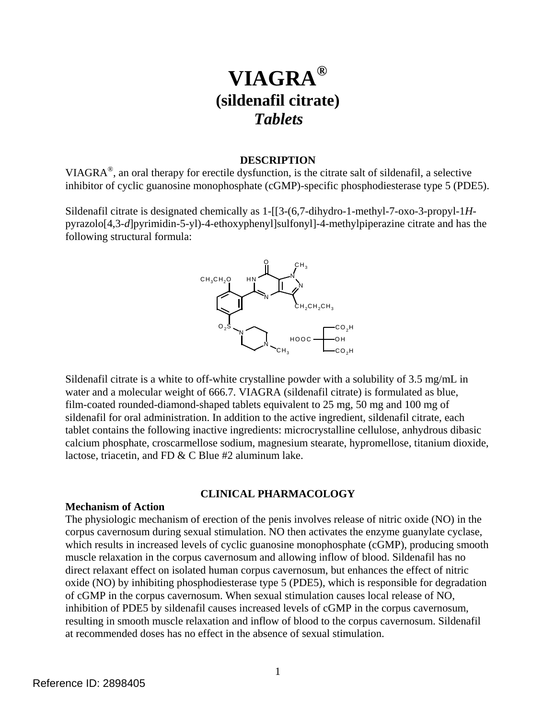# **VIAGRA® (sildenafil citrate)**  *Tablets*

#### **DESCRIPTION**

VIAGRA®, an oral therapy for erectile dysfunction, is the citrate salt of sildenafil, a selective inhibitor of cyclic guanosine monophosphate (cGMP)-specific phosphodiesterase type 5 (PDE5).

Sildenafil citrate is designated chemically as 1-[[3-(6,7-dihydro-1-methyl-7-oxo-3-propyl-1*H*pyrazolo[4,3-*d*]pyrimidin-5-yl)-4-ethoxyphenyl]sulfonyl]-4-methylpiperazine citrate and has the following structural formula:



Sildenafil citrate is a white to off-white crystalline powder with a solubility of 3.5 mg/mL in water and a molecular weight of 666.7. VIAGRA (sildenafil citrate) is formulated as blue, film-coated rounded-diamond-shaped tablets equivalent to 25 mg, 50 mg and 100 mg of sildenafil for oral administration. In addition to the active ingredient, sildenafil citrate, each tablet contains the following inactive ingredients: microcrystalline cellulose, anhydrous dibasic calcium phosphate, croscarmellose sodium, magnesium stearate, hypromellose, titanium dioxide, lactose, triacetin, and FD & C Blue #2 aluminum lake.

#### **CLINICAL PHARMACOLOGY**

#### **Mechanism of Action**

The physiologic mechanism of erection of the penis involves release of nitric oxide (NO) in the corpus cavernosum during sexual stimulation. NO then activates the enzyme guanylate cyclase, which results in increased levels of cyclic guanosine monophosphate (cGMP), producing smooth muscle relaxation in the corpus cavernosum and allowing inflow of blood. Sildenafil has no direct relaxant effect on isolated human corpus cavernosum, but enhances the effect of nitric oxide (NO) by inhibiting phosphodiesterase type 5 (PDE5), which is responsible for degradation of cGMP in the corpus cavernosum. When sexual stimulation causes local release of NO, inhibition of PDE5 by sildenafil causes increased levels of cGMP in the corpus cavernosum, resulting in smooth muscle relaxation and inflow of blood to the corpus cavernosum. Sildenafil at recommended doses has no effect in the absence of sexual stimulation.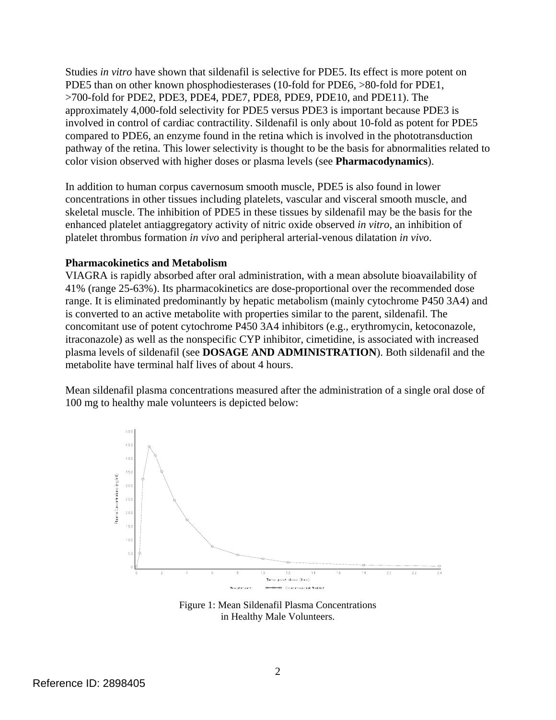Studies *in vitro* have shown that sildenafil is selective for PDE5. Its effect is more potent on PDE5 than on other known phosphodiesterases (10-fold for PDE6, >80-fold for PDE1, >700-fold for PDE2, PDE3, PDE4, PDE7, PDE8, PDE9, PDE10, and PDE11). The approximately 4,000-fold selectivity for PDE5 versus PDE3 is important because PDE3 is involved in control of cardiac contractility. Sildenafil is only about 10-fold as potent for PDE5 compared to PDE6, an enzyme found in the retina which is involved in the phototransduction pathway of the retina. This lower selectivity is thought to be the basis for abnormalities related to color vision observed with higher doses or plasma levels (see **Pharmacodynamics**).

In addition to human corpus cavernosum smooth muscle, PDE5 is also found in lower concentrations in other tissues including platelets, vascular and visceral smooth muscle, and skeletal muscle. The inhibition of PDE5 in these tissues by sildenafil may be the basis for the enhanced platelet antiaggregatory activity of nitric oxide observed *in vitro*, an inhibition of platelet thrombus formation *in vivo* and peripheral arterial-venous dilatation *in vivo*.

#### **Pharmacokinetics and Metabolism**

VIAGRA is rapidly absorbed after oral administration, with a mean absolute bioavailability of 41% (range 25-63%). Its pharmacokinetics are dose-proportional over the recommended dose range. It is eliminated predominantly by hepatic metabolism (mainly cytochrome P450 3A4) and is converted to an active metabolite with properties similar to the parent, sildenafil. The concomitant use of potent cytochrome P450 3A4 inhibitors (e.g., erythromycin, ketoconazole, itraconazole) as well as the nonspecific CYP inhibitor, cimetidine, is associated with increased plasma levels of sildenafil (see **DOSAGE AND ADMINISTRATION**). Both sildenafil and the metabolite have terminal half lives of about 4 hours.

Mean sildenafil plasma concentrations measured after the administration of a single oral dose of 100 mg to healthy male volunteers is depicted below:



Figure 1: Mean Sildenafil Plasma Concentrations in Healthy Male Volunteers.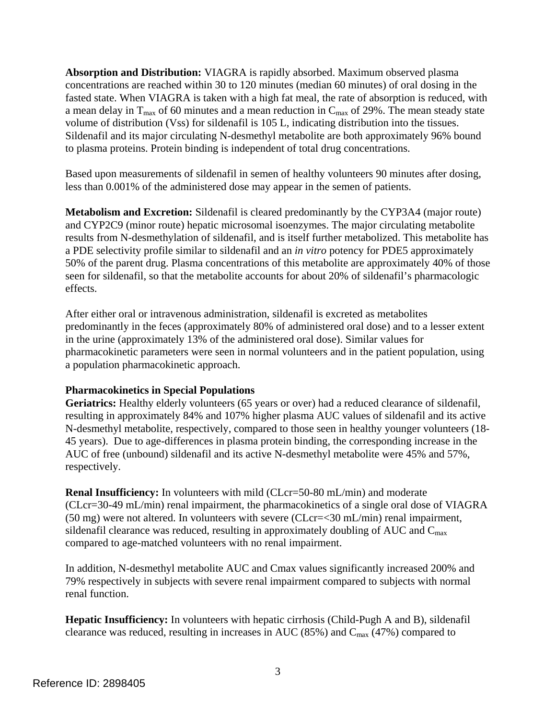**Absorption and Distribution:** VIAGRA is rapidly absorbed. Maximum observed plasma concentrations are reached within 30 to 120 minutes (median 60 minutes) of oral dosing in the fasted state. When VIAGRA is taken with a high fat meal, the rate of absorption is reduced, with a mean delay in  $T_{\text{max}}$  of 60 minutes and a mean reduction in  $C_{\text{max}}$  of 29%. The mean steady state volume of distribution (Vss) for sildenafil is 105 L, indicating distribution into the tissues. Sildenafil and its major circulating N-desmethyl metabolite are both approximately 96% bound to plasma proteins. Protein binding is independent of total drug concentrations.

Based upon measurements of sildenafil in semen of healthy volunteers 90 minutes after dosing, less than 0.001% of the administered dose may appear in the semen of patients.

**Metabolism and Excretion:** Sildenafil is cleared predominantly by the CYP3A4 (major route) and CYP2C9 (minor route) hepatic microsomal isoenzymes. The major circulating metabolite results from N-desmethylation of sildenafil, and is itself further metabolized. This metabolite has a PDE selectivity profile similar to sildenafil and an *in vitro* potency for PDE5 approximately 50% of the parent drug. Plasma concentrations of this metabolite are approximately 40% of those seen for sildenafil, so that the metabolite accounts for about 20% of sildenafil's pharmacologic effects.

After either oral or intravenous administration, sildenafil is excreted as metabolites predominantly in the feces (approximately 80% of administered oral dose) and to a lesser extent in the urine (approximately 13% of the administered oral dose). Similar values for pharmacokinetic parameters were seen in normal volunteers and in the patient population, using a population pharmacokinetic approach.

#### **Pharmacokinetics in Special Populations**

**Geriatrics:** Healthy elderly volunteers (65 years or over) had a reduced clearance of sildenafil, resulting in approximately 84% and 107% higher plasma AUC values of sildenafil and its active N-desmethyl metabolite, respectively, compared to those seen in healthy younger volunteers (18 45 years). Due to age-differences in plasma protein binding, the corresponding increase in the AUC of free (unbound) sildenafil and its active N-desmethyl metabolite were 45% and 57%, respectively.

**Renal Insufficiency:** In volunteers with mild (CLcr=50-80 mL/min) and moderate (CLcr=30-49 mL/min) renal impairment, the pharmacokinetics of a single oral dose of VIAGRA (50 mg) were not altered. In volunteers with severe (CLcr=<30 mL/min) renal impairment, sildenafil clearance was reduced, resulting in approximately doubling of AUC and  $C_{\text{max}}$ compared to age-matched volunteers with no renal impairment.

In addition, N-desmethyl metabolite AUC and Cmax values significantly increased 200% and 79% respectively in subjects with severe renal impairment compared to subjects with normal renal function.

**Hepatic Insufficiency:** In volunteers with hepatic cirrhosis (Child-Pugh A and B), sildenafil clearance was reduced, resulting in increases in AUC (85%) and  $C_{\text{max}}$  (47%) compared to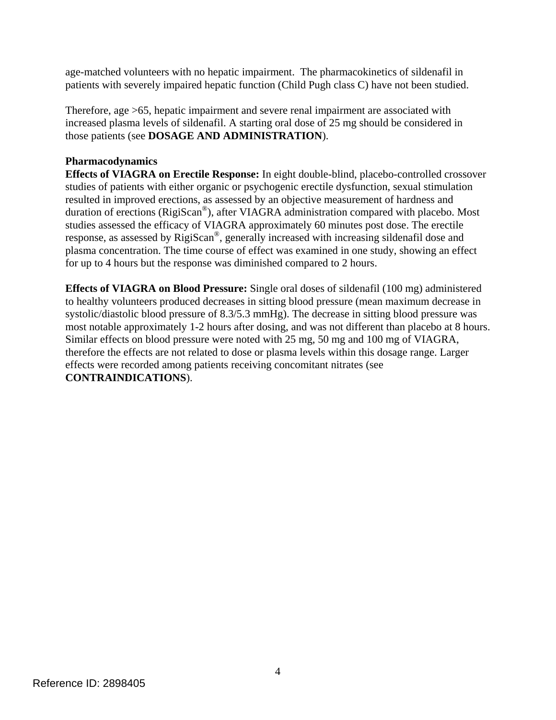age-matched volunteers with no hepatic impairment. The pharmacokinetics of sildenafil in patients with severely impaired hepatic function (Child Pugh class C) have not been studied.

Therefore, age >65, hepatic impairment and severe renal impairment are associated with increased plasma levels of sildenafil. A starting oral dose of 25 mg should be considered in those patients (see **DOSAGE AND ADMINISTRATION**).

#### **Pharmacodynamics**

**Effects of VIAGRA on Erectile Response:** In eight double-blind, placebo-controlled crossover studies of patients with either organic or psychogenic erectile dysfunction, sexual stimulation resulted in improved erections, as assessed by an objective measurement of hardness and duration of erections (RigiScan®), after VIAGRA administration compared with placebo. Most studies assessed the efficacy of VIAGRA approximately 60 minutes post dose. The erectile response, as assessed by RigiScan®, generally increased with increasing sildenafil dose and plasma concentration. The time course of effect was examined in one study, showing an effect for up to 4 hours but the response was diminished compared to 2 hours.

**Effects of VIAGRA on Blood Pressure:** Single oral doses of sildenafil (100 mg) administered to healthy volunteers produced decreases in sitting blood pressure (mean maximum decrease in systolic/diastolic blood pressure of 8.3/5.3 mmHg). The decrease in sitting blood pressure was most notable approximately 1-2 hours after dosing, and was not different than placebo at 8 hours. Similar effects on blood pressure were noted with 25 mg, 50 mg and 100 mg of VIAGRA, therefore the effects are not related to dose or plasma levels within this dosage range. Larger effects were recorded among patients receiving concomitant nitrates (see **CONTRAINDICATIONS**).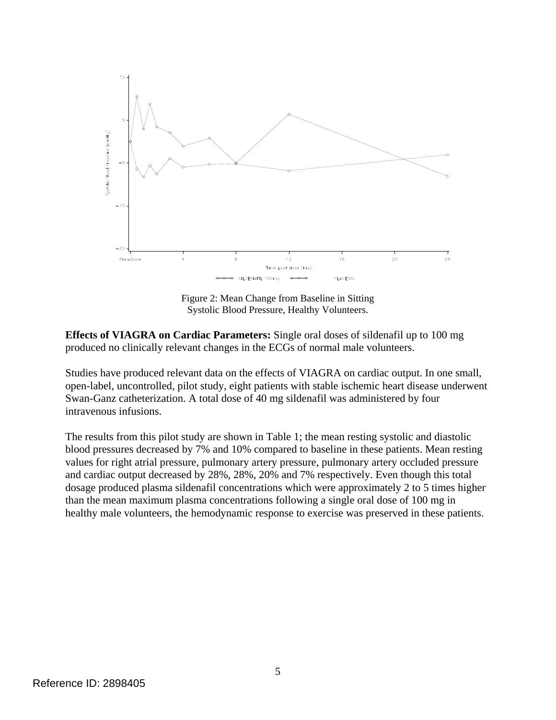

Figure 2: Mean Change from Baseline in Sitting Systolic Blood Pressure, Healthy Volunteers.

**Effects of VIAGRA on Cardiac Parameters:** Single oral doses of sildenafil up to 100 mg produced no clinically relevant changes in the ECGs of normal male volunteers.

Studies have produced relevant data on the effects of VIAGRA on cardiac output. In one small, open-label, uncontrolled, pilot study, eight patients with stable ischemic heart disease underwent Swan-Ganz catheterization. A total dose of 40 mg sildenafil was administered by four intravenous infusions.

The results from this pilot study are shown in Table 1; the mean resting systolic and diastolic blood pressures decreased by 7% and 10% compared to baseline in these patients. Mean resting values for right atrial pressure, pulmonary artery pressure, pulmonary artery occluded pressure and cardiac output decreased by 28%, 28%, 20% and 7% respectively. Even though this total dosage produced plasma sildenafil concentrations which were approximately 2 to 5 times higher than the mean maximum plasma concentrations following a single oral dose of 100 mg in healthy male volunteers, the hemodynamic response to exercise was preserved in these patients.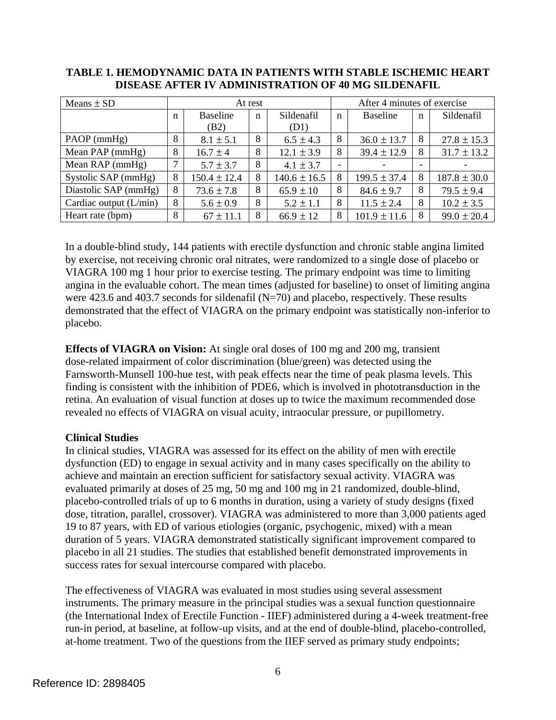| Means $\pm$ SD           | At rest |                  |   | After 4 minutes of exercise |                          |                  |             |                  |
|--------------------------|---------|------------------|---|-----------------------------|--------------------------|------------------|-------------|------------------|
|                          | n       | <b>Baseline</b>  | n | Sildenafil                  | $\mathbf n$              | <b>Baseline</b>  | $\mathbf n$ | Sildenafil       |
|                          |         | (B2)             |   | (D1)                        |                          |                  |             |                  |
| PAOP (mmHg)              | 8       | $8.1 \pm 5.1$    | 8 | $6.5 \pm 4.3$               | 8                        | $36.0 \pm 13.7$  | 8           | $27.8 \pm 15.3$  |
| Mean PAP (mmHg)          | 8       | $16.7 \pm 4$     | 8 | $12.1 \pm 3.9$              | 8                        | $39.4 \pm 12.9$  | 8           | $31.7 \pm 13.2$  |
| Mean RAP (mmHg)          | 7       | $5.7 \pm 3.7$    | 8 | $4.1 \pm 3.7$               | $\overline{\phantom{0}}$ |                  |             |                  |
| Systolic SAP (mmHg)      | 8       | $150.4 \pm 12.4$ | 8 | $140.6 \pm 16.5$            | 8                        | $199.5 \pm 37.4$ | 8           | $187.8 \pm 30.0$ |
| Diastolic SAP (mmHg)     | 8       | $73.6 \pm 7.8$   | 8 | $65.9 \pm 10$               | 8                        | $84.6 \pm 9.7$   | 8           | $79.5 \pm 9.4$   |
| Cardiac output $(L/min)$ | 8       | $5.6 \pm 0.9$    | 8 | $5.2 \pm 1.1$               | 8                        | $11.5 \pm 2.4$   | 8           | $10.2 \pm 3.5$   |
| Heart rate (bpm)         | 8       | $67 \pm 11.1$    | 8 | $66.9 \pm 12$               | 8                        | $101.9 \pm 11.6$ | 8           | $99.0 \pm 20.4$  |

#### **TABLE 1. HEMODYNAMIC DATA IN PATIENTS WITH STABLE ISCHEMIC HEART DISEASE AFTER IV ADMINISTRATION OF 40 MG SILDENAFIL**

In a double-blind study, 144 patients with erectile dysfunction and chronic stable angina limited by exercise, not receiving chronic oral nitrates, were randomized to a single dose of placebo or VIAGRA 100 mg 1 hour prior to exercise testing. The primary endpoint was time to limiting angina in the evaluable cohort. The mean times (adjusted for baseline) to onset of limiting angina were 423.6 and 403.7 seconds for sildenafil (N=70) and placebo, respectively. These results demonstrated that the effect of VIAGRA on the primary endpoint was statistically non-inferior to placebo.

**Effects of VIAGRA on Vision:** At single oral doses of 100 mg and 200 mg, transient dose-related impairment of color discrimination (blue/green) was detected using the Farnsworth-Munsell 100-hue test, with peak effects near the time of peak plasma levels. This finding is consistent with the inhibition of PDE6, which is involved in phototransduction in the retina. An evaluation of visual function at doses up to twice the maximum recommended dose revealed no effects of VIAGRA on visual acuity, intraocular pressure, or pupillometry.

#### **Clinical Studies**

In clinical studies, VIAGRA was assessed for its effect on the ability of men with erectile dysfunction (ED) to engage in sexual activity and in many cases specifically on the ability to achieve and maintain an erection sufficient for satisfactory sexual activity. VIAGRA was evaluated primarily at doses of 25 mg, 50 mg and 100 mg in 21 randomized, double-blind, placebo-controlled trials of up to 6 months in duration, using a variety of study designs (fixed dose, titration, parallel, crossover). VIAGRA was administered to more than 3,000 patients aged 19 to 87 years, with ED of various etiologies (organic, psychogenic, mixed) with a mean duration of 5 years. VIAGRA demonstrated statistically significant improvement compared to placebo in all 21 studies. The studies that established benefit demonstrated improvements in success rates for sexual intercourse compared with placebo.

The effectiveness of VIAGRA was evaluated in most studies using several assessment instruments. The primary measure in the principal studies was a sexual function questionnaire (the International Index of Erectile Function - IIEF) administered during a 4-week treatment-free run-in period, at baseline, at follow-up visits, and at the end of double-blind, placebo-controlled, at-home treatment. Two of the questions from the IIEF served as primary study endpoints;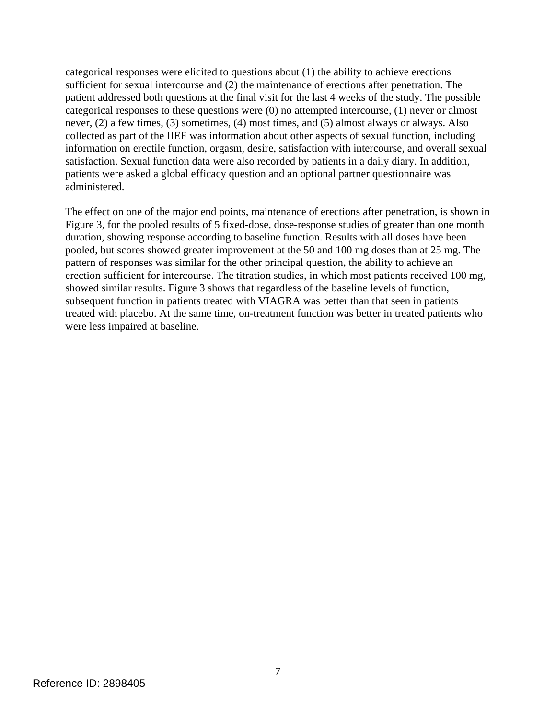categorical responses were elicited to questions about (1) the ability to achieve erections sufficient for sexual intercourse and (2) the maintenance of erections after penetration. The patient addressed both questions at the final visit for the last 4 weeks of the study. The possible categorical responses to these questions were (0) no attempted intercourse, (1) never or almost never, (2) a few times, (3) sometimes, (4) most times, and (5) almost always or always. Also collected as part of the IIEF was information about other aspects of sexual function, including information on erectile function, orgasm, desire, satisfaction with intercourse, and overall sexual satisfaction. Sexual function data were also recorded by patients in a daily diary. In addition, patients were asked a global efficacy question and an optional partner questionnaire was administered.

The effect on one of the major end points, maintenance of erections after penetration, is shown in Figure 3, for the pooled results of 5 fixed-dose, dose-response studies of greater than one month duration, showing response according to baseline function. Results with all doses have been pooled, but scores showed greater improvement at the 50 and 100 mg doses than at 25 mg. The pattern of responses was similar for the other principal question, the ability to achieve an erection sufficient for intercourse. The titration studies, in which most patients received 100 mg, showed similar results. Figure 3 shows that regardless of the baseline levels of function, subsequent function in patients treated with VIAGRA was better than that seen in patients treated with placebo. At the same time, on-treatment function was better in treated patients who were less impaired at baseline.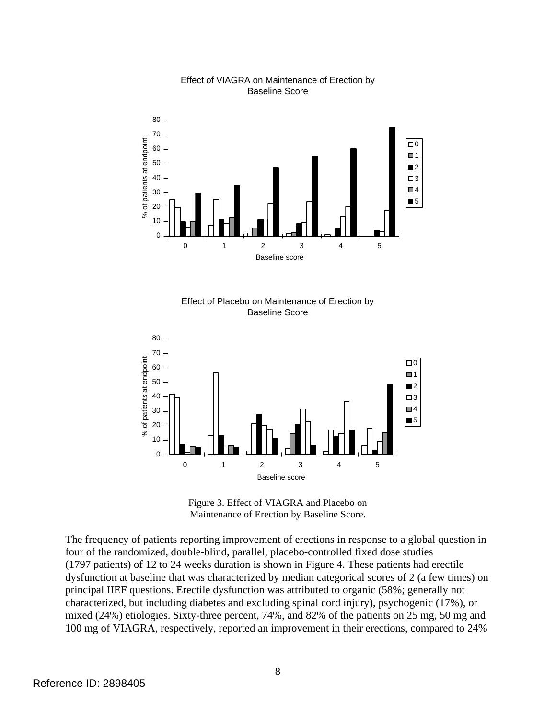

#### Effect of VIAGRA on Maintenance of Erection by Baseline Score





Figure 3. Effect of VIAGRA and Placebo on Maintenance of Erection by Baseline Score.

The frequency of patients reporting improvement of erections in response to a global question in four of the randomized, double-blind, parallel, placebo-controlled fixed dose studies (1797 patients) of 12 to 24 weeks duration is shown in Figure 4. These patients had erectile dysfunction at baseline that was characterized by median categorical scores of 2 (a few times) on principal IIEF questions. Erectile dysfunction was attributed to organic (58%; generally not characterized, but including diabetes and excluding spinal cord injury), psychogenic (17%), or mixed (24%) etiologies. Sixty-three percent, 74%, and 82% of the patients on 25 mg, 50 mg and 100 mg of VIAGRA, respectively, reported an improvement in their erections, compared to 24%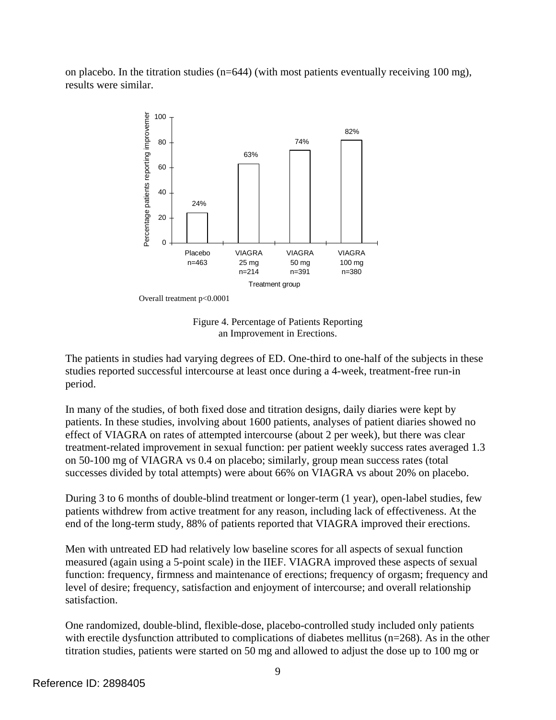on placebo. In the titration studies ( $n=644$ ) (with most patients eventually receiving 100 mg), results were similar.



Overall treatment p<0.0001

Figure 4. Percentage of Patients Reporting an Improvement in Erections.

The patients in studies had varying degrees of ED. One-third to one-half of the subjects in these studies reported successful intercourse at least once during a 4-week, treatment-free run-in period.

In many of the studies, of both fixed dose and titration designs, daily diaries were kept by patients. In these studies, involving about 1600 patients, analyses of patient diaries showed no effect of VIAGRA on rates of attempted intercourse (about 2 per week), but there was clear treatment-related improvement in sexual function: per patient weekly success rates averaged 1.3 on 50-100 mg of VIAGRA vs 0.4 on placebo; similarly, group mean success rates (total successes divided by total attempts) were about 66% on VIAGRA vs about 20% on placebo.

During 3 to 6 months of double-blind treatment or longer-term (1 year), open-label studies, few patients withdrew from active treatment for any reason, including lack of effectiveness. At the end of the long-term study, 88% of patients reported that VIAGRA improved their erections.

Men with untreated ED had relatively low baseline scores for all aspects of sexual function measured (again using a 5-point scale) in the IIEF. VIAGRA improved these aspects of sexual function: frequency, firmness and maintenance of erections; frequency of orgasm; frequency and level of desire; frequency, satisfaction and enjoyment of intercourse; and overall relationship satisfaction.

One randomized, double-blind, flexible-dose, placebo-controlled study included only patients with erectile dysfunction attributed to complications of diabetes mellitus (n=268). As in the other titration studies, patients were started on 50 mg and allowed to adjust the dose up to 100 mg or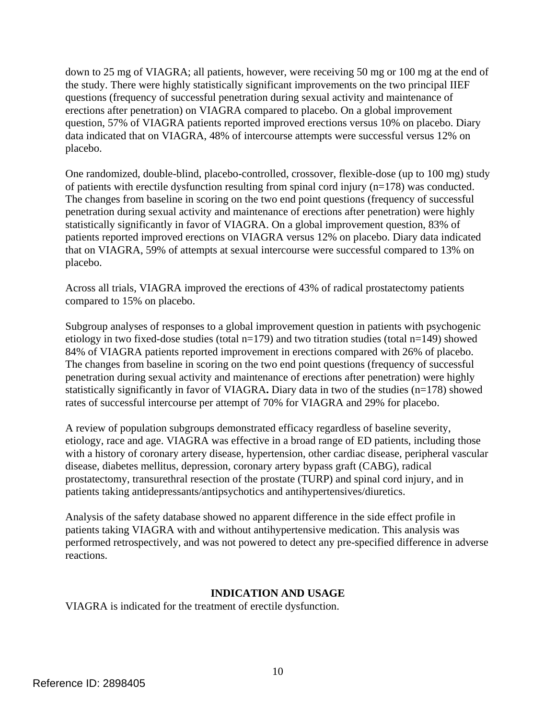down to 25 mg of VIAGRA; all patients, however, were receiving 50 mg or 100 mg at the end of the study. There were highly statistically significant improvements on the two principal IIEF questions (frequency of successful penetration during sexual activity and maintenance of erections after penetration) on VIAGRA compared to placebo. On a global improvement question, 57% of VIAGRA patients reported improved erections versus 10% on placebo. Diary data indicated that on VIAGRA, 48% of intercourse attempts were successful versus 12% on placebo.

One randomized, double-blind, placebo-controlled, crossover, flexible-dose (up to 100 mg) study of patients with erectile dysfunction resulting from spinal cord injury (n=178) was conducted. The changes from baseline in scoring on the two end point questions (frequency of successful penetration during sexual activity and maintenance of erections after penetration) were highly statistically significantly in favor of VIAGRA. On a global improvement question, 83% of patients reported improved erections on VIAGRA versus 12% on placebo. Diary data indicated that on VIAGRA, 59% of attempts at sexual intercourse were successful compared to 13% on placebo.

Across all trials, VIAGRA improved the erections of 43% of radical prostatectomy patients compared to 15% on placebo.

Subgroup analyses of responses to a global improvement question in patients with psychogenic etiology in two fixed-dose studies (total n=179) and two titration studies (total n=149) showed 84% of VIAGRA patients reported improvement in erections compared with 26% of placebo. The changes from baseline in scoring on the two end point questions (frequency of successful penetration during sexual activity and maintenance of erections after penetration) were highly statistically significantly in favor of VIAGRA**.** Diary data in two of the studies (n=178) showed rates of successful intercourse per attempt of 70% for VIAGRA and 29% for placebo.

A review of population subgroups demonstrated efficacy regardless of baseline severity, etiology, race and age. VIAGRA was effective in a broad range of ED patients, including those with a history of coronary artery disease, hypertension, other cardiac disease, peripheral vascular disease, diabetes mellitus, depression, coronary artery bypass graft (CABG), radical prostatectomy, transurethral resection of the prostate (TURP) and spinal cord injury, and in patients taking antidepressants/antipsychotics and antihypertensives/diuretics.

Analysis of the safety database showed no apparent difference in the side effect profile in patients taking VIAGRA with and without antihypertensive medication. This analysis was performed retrospectively, and was not powered to detect any pre-specified difference in adverse reactions.

#### **INDICATION AND USAGE**

VIAGRA is indicated for the treatment of erectile dysfunction.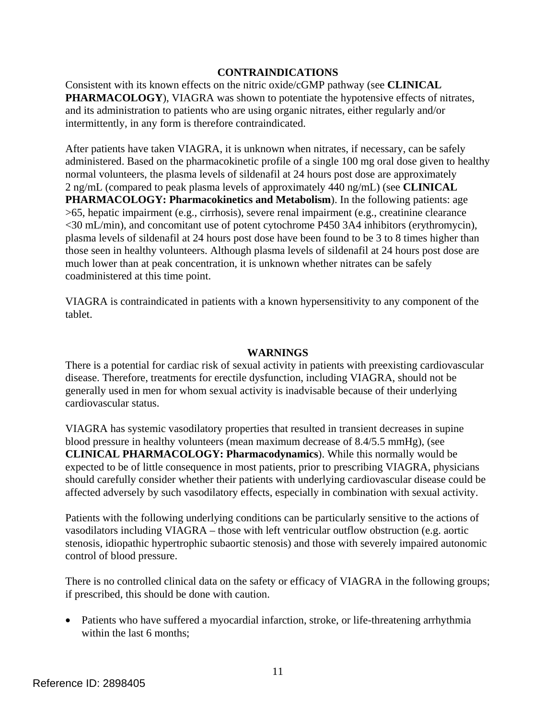#### **CONTRAINDICATIONS**

Consistent with its known effects on the nitric oxide/cGMP pathway (see **CLINICAL PHARMACOLOGY**), VIAGRA was shown to potentiate the hypotensive effects of nitrates, and its administration to patients who are using organic nitrates, either regularly and/or intermittently, in any form is therefore contraindicated.

After patients have taken VIAGRA, it is unknown when nitrates, if necessary, can be safely administered. Based on the pharmacokinetic profile of a single 100 mg oral dose given to healthy normal volunteers, the plasma levels of sildenafil at 24 hours post dose are approximately 2 ng/mL (compared to peak plasma levels of approximately 440 ng/mL) (see **CLINICAL PHARMACOLOGY: Pharmacokinetics and Metabolism**). In the following patients: age >65, hepatic impairment (e.g., cirrhosis), severe renal impairment (e.g., creatinine clearance <30 mL/min), and concomitant use of potent cytochrome P450 3A4 inhibitors (erythromycin), plasma levels of sildenafil at 24 hours post dose have been found to be 3 to 8 times higher than those seen in healthy volunteers. Although plasma levels of sildenafil at 24 hours post dose are much lower than at peak concentration, it is unknown whether nitrates can be safely coadministered at this time point.

VIAGRA is contraindicated in patients with a known hypersensitivity to any component of the tablet.

#### **WARNINGS**

There is a potential for cardiac risk of sexual activity in patients with preexisting cardiovascular disease. Therefore, treatments for erectile dysfunction, including VIAGRA, should not be generally used in men for whom sexual activity is inadvisable because of their underlying cardiovascular status.

VIAGRA has systemic vasodilatory properties that resulted in transient decreases in supine blood pressure in healthy volunteers (mean maximum decrease of 8.4/5.5 mmHg), (see **CLINICAL PHARMACOLOGY: Pharmacodynamics**). While this normally would be expected to be of little consequence in most patients, prior to prescribing VIAGRA, physicians should carefully consider whether their patients with underlying cardiovascular disease could be affected adversely by such vasodilatory effects, especially in combination with sexual activity.

Patients with the following underlying conditions can be particularly sensitive to the actions of vasodilators including VIAGRA – those with left ventricular outflow obstruction (e.g. aortic stenosis, idiopathic hypertrophic subaortic stenosis) and those with severely impaired autonomic control of blood pressure.

There is no controlled clinical data on the safety or efficacy of VIAGRA in the following groups; if prescribed, this should be done with caution.

• Patients who have suffered a myocardial infarction, stroke, or life-threatening arrhythmia within the last 6 months;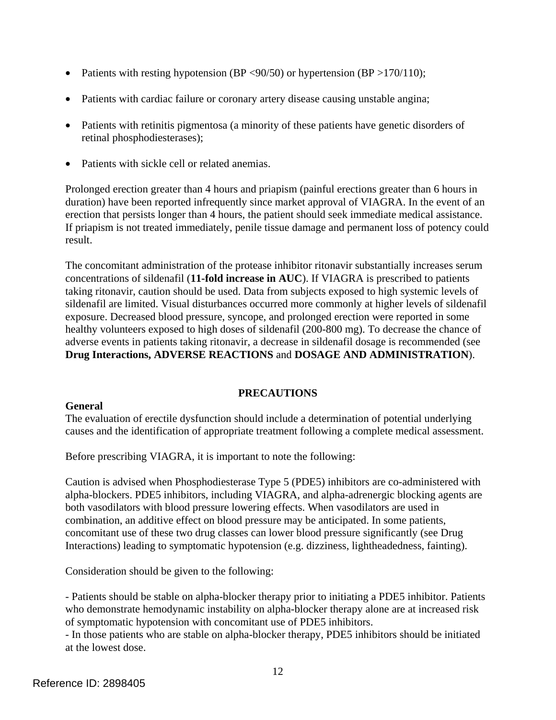- Patients with resting hypotension (BP <90/50) or hypertension (BP >170/110);
- Patients with cardiac failure or coronary artery disease causing unstable angina;
- Patients with retinitis pigmentosa (a minority of these patients have genetic disorders of retinal phosphodiesterases);
- Patients with sickle cell or related anemias.

Prolonged erection greater than 4 hours and priapism (painful erections greater than 6 hours in duration) have been reported infrequently since market approval of VIAGRA. In the event of an erection that persists longer than 4 hours, the patient should seek immediate medical assistance. If priapism is not treated immediately, penile tissue damage and permanent loss of potency could result.

The concomitant administration of the protease inhibitor ritonavir substantially increases serum concentrations of sildenafil (**11-fold increase in AUC**). If VIAGRA is prescribed to patients taking ritonavir, caution should be used. Data from subjects exposed to high systemic levels of sildenafil are limited. Visual disturbances occurred more commonly at higher levels of sildenafil exposure. Decreased blood pressure, syncope, and prolonged erection were reported in some healthy volunteers exposed to high doses of sildenafil (200-800 mg). To decrease the chance of adverse events in patients taking ritonavir, a decrease in sildenafil dosage is recommended (see **Drug Interactions, ADVERSE REACTIONS** and **DOSAGE AND ADMINISTRATION**).

#### **PRECAUTIONS**

#### **General**

The evaluation of erectile dysfunction should include a determination of potential underlying causes and the identification of appropriate treatment following a complete medical assessment.

Before prescribing VIAGRA, it is important to note the following:

Caution is advised when Phosphodiesterase Type 5 (PDE5) inhibitors are co-administered with alpha-blockers. PDE5 inhibitors, including VIAGRA, and alpha-adrenergic blocking agents are both vasodilators with blood pressure lowering effects. When vasodilators are used in combination, an additive effect on blood pressure may be anticipated. In some patients, concomitant use of these two drug classes can lower blood pressure significantly (see Drug Interactions) leading to symptomatic hypotension (e.g. dizziness, lightheadedness, fainting).

Consideration should be given to the following:

- Patients should be stable on alpha-blocker therapy prior to initiating a PDE5 inhibitor. Patients who demonstrate hemodynamic instability on alpha-blocker therapy alone are at increased risk of symptomatic hypotension with concomitant use of PDE5 inhibitors.

- In those patients who are stable on alpha-blocker therapy, PDE5 inhibitors should be initiated at the lowest dose.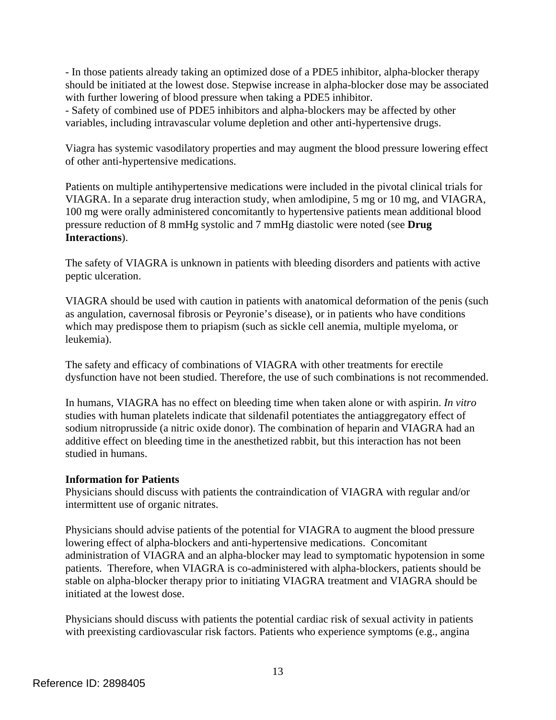- In those patients already taking an optimized dose of a PDE5 inhibitor, alpha-blocker therapy should be initiated at the lowest dose. Stepwise increase in alpha-blocker dose may be associated with further lowering of blood pressure when taking a PDE5 inhibitor.

- Safety of combined use of PDE5 inhibitors and alpha-blockers may be affected by other variables, including intravascular volume depletion and other anti-hypertensive drugs.

Viagra has systemic vasodilatory properties and may augment the blood pressure lowering effect of other anti-hypertensive medications.

Patients on multiple antihypertensive medications were included in the pivotal clinical trials for VIAGRA. In a separate drug interaction study, when amlodipine, 5 mg or 10 mg, and VIAGRA, 100 mg were orally administered concomitantly to hypertensive patients mean additional blood pressure reduction of 8 mmHg systolic and 7 mmHg diastolic were noted (see **Drug Interactions**).

The safety of VIAGRA is unknown in patients with bleeding disorders and patients with active peptic ulceration.

VIAGRA should be used with caution in patients with anatomical deformation of the penis (such as angulation, cavernosal fibrosis or Peyronie's disease), or in patients who have conditions which may predispose them to priapism (such as sickle cell anemia, multiple myeloma, or leukemia).

The safety and efficacy of combinations of VIAGRA with other treatments for erectile dysfunction have not been studied. Therefore, the use of such combinations is not recommended.

In humans, VIAGRA has no effect on bleeding time when taken alone or with aspirin. *In vitro*  studies with human platelets indicate that sildenafil potentiates the antiaggregatory effect of sodium nitroprusside (a nitric oxide donor). The combination of heparin and VIAGRA had an additive effect on bleeding time in the anesthetized rabbit, but this interaction has not been studied in humans.

#### **Information for Patients**

Physicians should discuss with patients the contraindication of VIAGRA with regular and/or intermittent use of organic nitrates.

Physicians should advise patients of the potential for VIAGRA to augment the blood pressure lowering effect of alpha-blockers and anti-hypertensive medications. Concomitant administration of VIAGRA and an alpha-blocker may lead to symptomatic hypotension in some patients. Therefore, when VIAGRA is co-administered with alpha-blockers, patients should be stable on alpha-blocker therapy prior to initiating VIAGRA treatment and VIAGRA should be initiated at the lowest dose.

Physicians should discuss with patients the potential cardiac risk of sexual activity in patients with preexisting cardiovascular risk factors. Patients who experience symptoms (e.g., angina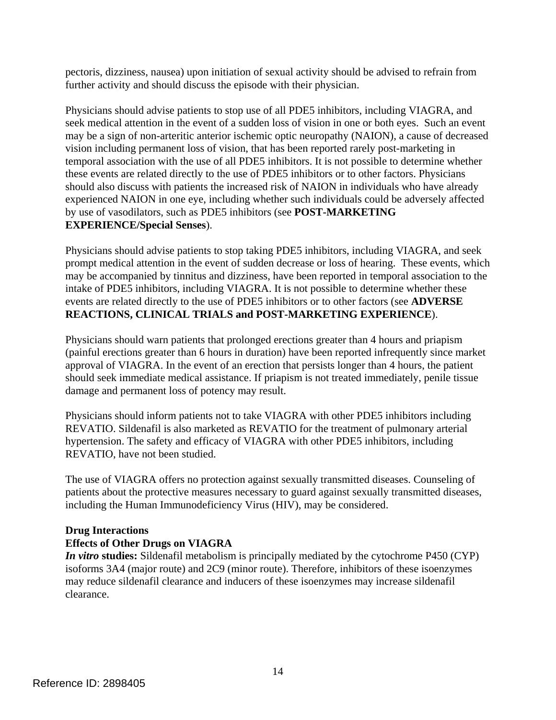pectoris, dizziness, nausea) upon initiation of sexual activity should be advised to refrain from further activity and should discuss the episode with their physician.

Physicians should advise patients to stop use of all PDE5 inhibitors, including VIAGRA, and seek medical attention in the event of a sudden loss of vision in one or both eyes. Such an event may be a sign of non-arteritic anterior ischemic optic neuropathy (NAION), a cause of decreased vision including permanent loss of vision, that has been reported rarely post-marketing in temporal association with the use of all PDE5 inhibitors. It is not possible to determine whether these events are related directly to the use of PDE5 inhibitors or to other factors. Physicians should also discuss with patients the increased risk of NAION in individuals who have already experienced NAION in one eye, including whether such individuals could be adversely affected by use of vasodilators, such as PDE5 inhibitors (see **POST-MARKETING EXPERIENCE/Special Senses**).

Physicians should advise patients to stop taking PDE5 inhibitors, including VIAGRA, and seek prompt medical attention in the event of sudden decrease or loss of hearing. These events, which may be accompanied by tinnitus and dizziness, have been reported in temporal association to the intake of PDE5 inhibitors, including VIAGRA. It is not possible to determine whether these events are related directly to the use of PDE5 inhibitors or to other factors (see **ADVERSE REACTIONS, CLINICAL TRIALS and POST-MARKETING EXPERIENCE**).

Physicians should warn patients that prolonged erections greater than 4 hours and priapism (painful erections greater than 6 hours in duration) have been reported infrequently since market approval of VIAGRA. In the event of an erection that persists longer than 4 hours, the patient should seek immediate medical assistance. If priapism is not treated immediately, penile tissue damage and permanent loss of potency may result.

Physicians should inform patients not to take VIAGRA with other PDE5 inhibitors including REVATIO. Sildenafil is also marketed as REVATIO for the treatment of pulmonary arterial hypertension. The safety and efficacy of VIAGRA with other PDE5 inhibitors, including REVATIO, have not been studied.

The use of VIAGRA offers no protection against sexually transmitted diseases. Counseling of patients about the protective measures necessary to guard against sexually transmitted diseases, including the Human Immunodeficiency Virus (HIV), may be considered.

### **Drug Interactions**

#### **Effects of Other Drugs on VIAGRA**

*In vitro* **studies:** Sildenafil metabolism is principally mediated by the cytochrome P450 (CYP) isoforms 3A4 (major route) and 2C9 (minor route). Therefore, inhibitors of these isoenzymes may reduce sildenafil clearance and inducers of these isoenzymes may increase sildenafil clearance.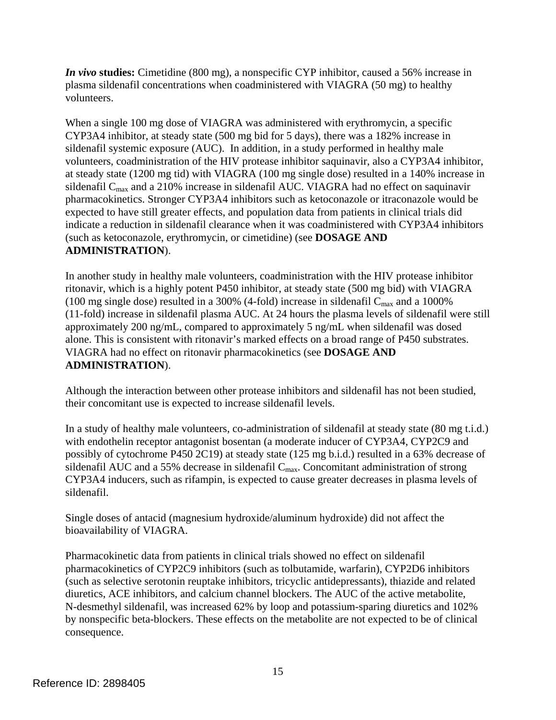*In vivo* **studies:** Cimetidine (800 mg), a nonspecific CYP inhibitor, caused a 56% increase in plasma sildenafil concentrations when coadministered with VIAGRA (50 mg) to healthy volunteers.

When a single 100 mg dose of VIAGRA was administered with erythromycin, a specific CYP3A4 inhibitor, at steady state (500 mg bid for 5 days), there was a 182% increase in sildenafil systemic exposure (AUC). In addition, in a study performed in healthy male volunteers, coadministration of the HIV protease inhibitor saquinavir, also a CYP3A4 inhibitor, at steady state (1200 mg tid) with VIAGRA (100 mg single dose) resulted in a 140% increase in sildenafil  $C_{\text{max}}$  and a 210% increase in sildenafil AUC. VIAGRA had no effect on saquinavir pharmacokinetics. Stronger CYP3A4 inhibitors such as ketoconazole or itraconazole would be expected to have still greater effects, and population data from patients in clinical trials did indicate a reduction in sildenafil clearance when it was coadministered with CYP3A4 inhibitors (such as ketoconazole, erythromycin, or cimetidine) (see **DOSAGE AND ADMINISTRATION**).

In another study in healthy male volunteers, coadministration with the HIV protease inhibitor ritonavir, which is a highly potent P450 inhibitor, at steady state (500 mg bid) with VIAGRA (100 mg single dose) resulted in a 300% (4-fold) increase in sildenafil  $C_{\text{max}}$  and a 1000% (11-fold) increase in sildenafil plasma AUC. At 24 hours the plasma levels of sildenafil were still approximately 200 ng/mL, compared to approximately 5 ng/mL when sildenafil was dosed alone. This is consistent with ritonavir's marked effects on a broad range of P450 substrates. VIAGRA had no effect on ritonavir pharmacokinetics (see **DOSAGE AND ADMINISTRATION**).

Although the interaction between other protease inhibitors and sildenafil has not been studied, their concomitant use is expected to increase sildenafil levels.

In a study of healthy male volunteers, co-administration of sildenafil at steady state (80 mg t.i.d.) with endothelin receptor antagonist bosentan (a moderate inducer of CYP3A4, CYP2C9 and possibly of cytochrome P450 2C19) at steady state (125 mg b.i.d.) resulted in a 63% decrease of sildenafil AUC and a 55% decrease in sildenafil  $C_{\text{max}}$ . Concomitant administration of strong CYP3A4 inducers, such as rifampin, is expected to cause greater decreases in plasma levels of sildenafil.

Single doses of antacid (magnesium hydroxide/aluminum hydroxide) did not affect the bioavailability of VIAGRA.

Pharmacokinetic data from patients in clinical trials showed no effect on sildenafil pharmacokinetics of CYP2C9 inhibitors (such as tolbutamide, warfarin), CYP2D6 inhibitors (such as selective serotonin reuptake inhibitors, tricyclic antidepressants), thiazide and related diuretics, ACE inhibitors, and calcium channel blockers. The AUC of the active metabolite, N-desmethyl sildenafil, was increased 62% by loop and potassium-sparing diuretics and 102% by nonspecific beta-blockers. These effects on the metabolite are not expected to be of clinical consequence.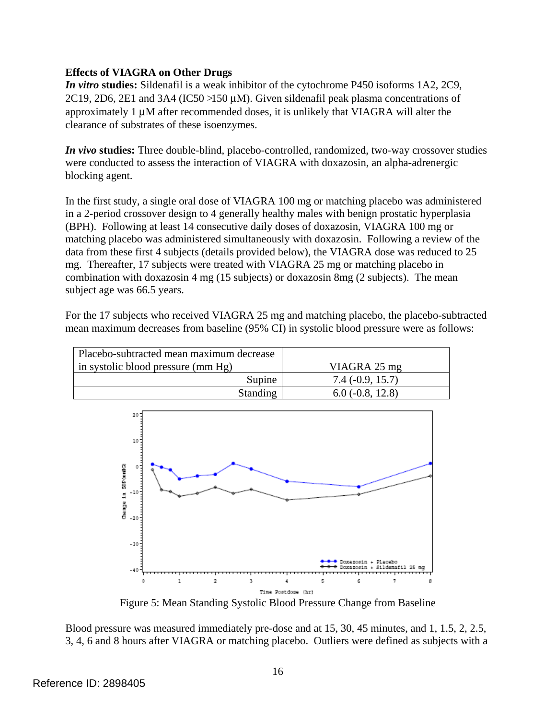#### **Effects of VIAGRA on Other Drugs**

*In vitro* **studies:** Sildenafil is a weak inhibitor of the cytochrome P450 isoforms 1A2, 2C9, 2C19, 2D6, 2E1 and 3A4 (IC50  $>150 \mu M$ ). Given sildenafil peak plasma concentrations of approximately 1 μM after recommended doses, it is unlikely that VIAGRA will alter the clearance of substrates of these isoenzymes.

*In vivo* **studies:** Three double-blind, placebo-controlled, randomized, two-way crossover studies were conducted to assess the interaction of VIAGRA with doxazosin, an alpha-adrenergic blocking agent.

In the first study, a single oral dose of VIAGRA 100 mg or matching placebo was administered in a 2-period crossover design to 4 generally healthy males with benign prostatic hyperplasia (BPH). Following at least 14 consecutive daily doses of doxazosin, VIAGRA 100 mg or matching placebo was administered simultaneously with doxazosin. Following a review of the data from these first 4 subjects (details provided below), the VIAGRA dose was reduced to 25 mg. Thereafter, 17 subjects were treated with VIAGRA 25 mg or matching placebo in combination with doxazosin 4 mg (15 subjects) or doxazosin 8mg (2 subjects). The mean subject age was 66.5 years.

For the 17 subjects who received VIAGRA 25 mg and matching placebo, the placebo-subtracted mean maximum decreases from baseline (95% CI) in systolic blood pressure were as follows:



Figure 5: Mean Standing Systolic Blood Pressure Change from Baseline

Blood pressure was measured immediately pre-dose and at 15, 30, 45 minutes, and 1, 1.5, 2, 2.5, 3, 4, 6 and 8 hours after VIAGRA or matching placebo. Outliers were defined as subjects with a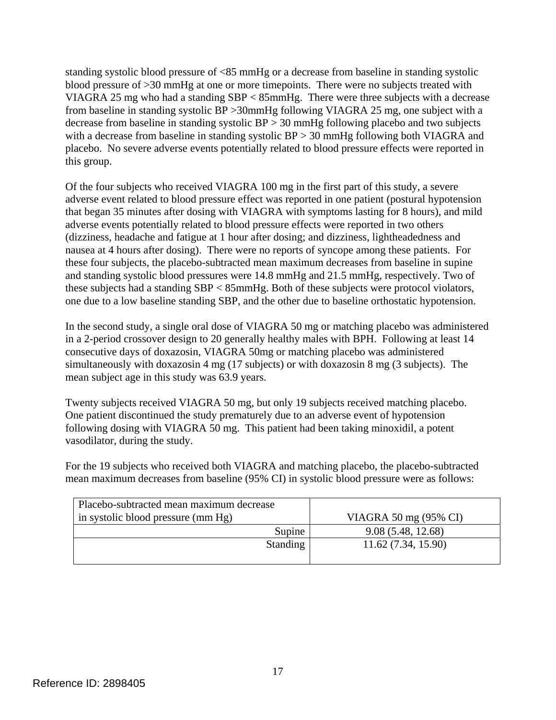standing systolic blood pressure of <85 mmHg or a decrease from baseline in standing systolic blood pressure of >30 mmHg at one or more timepoints. There were no subjects treated with VIAGRA 25 mg who had a standing SBP < 85mmHg. There were three subjects with a decrease from baseline in standing systolic BP >30mmHg following VIAGRA 25 mg, one subject with a decrease from baseline in standing systolic BP > 30 mmHg following placebo and two subjects with a decrease from baseline in standing systolic BP > 30 mmHg following both VIAGRA and placebo. No severe adverse events potentially related to blood pressure effects were reported in this group.

Of the four subjects who received VIAGRA 100 mg in the first part of this study, a severe adverse event related to blood pressure effect was reported in one patient (postural hypotension that began 35 minutes after dosing with VIAGRA with symptoms lasting for 8 hours), and mild adverse events potentially related to blood pressure effects were reported in two others (dizziness, headache and fatigue at 1 hour after dosing; and dizziness, lightheadedness and nausea at 4 hours after dosing). There were no reports of syncope among these patients. For these four subjects, the placebo-subtracted mean maximum decreases from baseline in supine and standing systolic blood pressures were 14.8 mmHg and 21.5 mmHg, respectively. Two of these subjects had a standing SBP < 85mmHg. Both of these subjects were protocol violators, one due to a low baseline standing SBP, and the other due to baseline orthostatic hypotension.

In the second study, a single oral dose of VIAGRA 50 mg or matching placebo was administered in a 2-period crossover design to 20 generally healthy males with BPH. Following at least 14 consecutive days of doxazosin, VIAGRA 50mg or matching placebo was administered simultaneously with doxazosin 4 mg (17 subjects) or with doxazosin 8 mg (3 subjects). The mean subject age in this study was 63.9 years.

Twenty subjects received VIAGRA 50 mg, but only 19 subjects received matching placebo. One patient discontinued the study prematurely due to an adverse event of hypotension following dosing with VIAGRA 50 mg. This patient had been taking minoxidil, a potent vasodilator, during the study.

For the 19 subjects who received both VIAGRA and matching placebo, the placebo-subtracted mean maximum decreases from baseline (95% CI) in systolic blood pressure were as follows:

| Placebo-subtracted mean maximum decrease |                                  |
|------------------------------------------|----------------------------------|
| in systolic blood pressure (mm Hg)       | VIAGRA 50 mg $(95\% \text{ CI})$ |
| Supine                                   | 9.08 (5.48, 12.68)               |
| Standing                                 | 11.62(7.34, 15.90)               |
|                                          |                                  |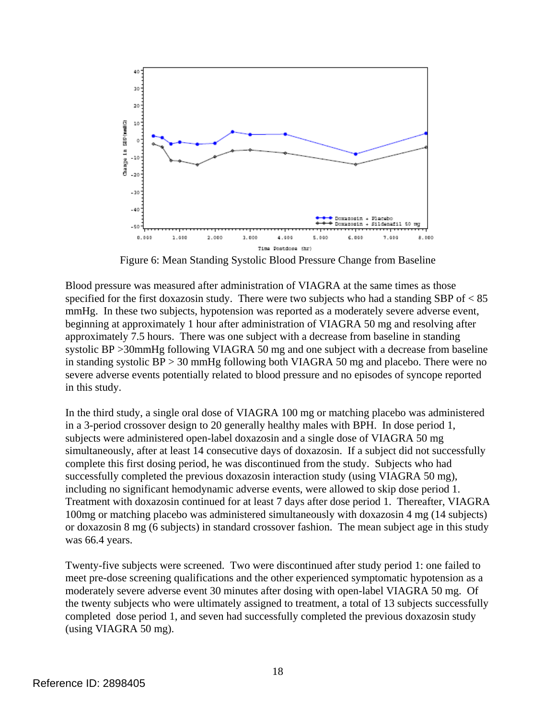

Figure 6: Mean Standing Systolic Blood Pressure Change from Baseline

Blood pressure was measured after administration of VIAGRA at the same times as those specified for the first doxazosin study. There were two subjects who had a standing SBP of  $< 85$ mmHg. In these two subjects, hypotension was reported as a moderately severe adverse event, beginning at approximately 1 hour after administration of VIAGRA 50 mg and resolving after approximately 7.5 hours. There was one subject with a decrease from baseline in standing systolic BP >30mmHg following VIAGRA 50 mg and one subject with a decrease from baseline in standing systolic BP > 30 mmHg following both VIAGRA 50 mg and placebo. There were no severe adverse events potentially related to blood pressure and no episodes of syncope reported in this study.

In the third study, a single oral dose of VIAGRA 100 mg or matching placebo was administered in a 3-period crossover design to 20 generally healthy males with BPH. In dose period 1, subjects were administered open-label doxazosin and a single dose of VIAGRA 50 mg simultaneously, after at least 14 consecutive days of doxazosin. If a subject did not successfully complete this first dosing period, he was discontinued from the study. Subjects who had successfully completed the previous doxazosin interaction study (using VIAGRA 50 mg), including no significant hemodynamic adverse events, were allowed to skip dose period 1. Treatment with doxazosin continued for at least 7 days after dose period 1. Thereafter, VIAGRA 100mg or matching placebo was administered simultaneously with doxazosin 4 mg (14 subjects) or doxazosin 8 mg (6 subjects) in standard crossover fashion. The mean subject age in this study was 66.4 years.

Twenty-five subjects were screened. Two were discontinued after study period 1: one failed to meet pre-dose screening qualifications and the other experienced symptomatic hypotension as a moderately severe adverse event 30 minutes after dosing with open-label VIAGRA 50 mg. Of the twenty subjects who were ultimately assigned to treatment, a total of 13 subjects successfully completed dose period 1, and seven had successfully completed the previous doxazosin study (using VIAGRA 50 mg).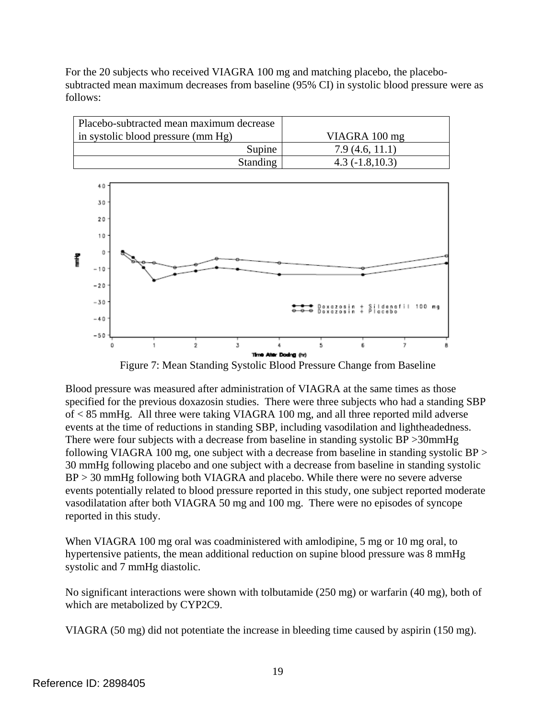For the 20 subjects who received VIAGRA 100 mg and matching placebo, the placebosubtracted mean maximum decreases from baseline (95% CI) in systolic blood pressure were as follows:

| Placebo-subtracted mean maximum decrease |                  |
|------------------------------------------|------------------|
| in systolic blood pressure (mm Hg)       | VIAGRA 100 mg    |
| Supine                                   | 7.9(4.6, 11.1)   |
| Standing                                 | $4.3(-1.8,10.3)$ |



Figure 7: Mean Standing Systolic Blood Pressure Change from Baseline

Blood pressure was measured after administration of VIAGRA at the same times as those specified for the previous doxazosin studies. There were three subjects who had a standing SBP of < 85 mmHg. All three were taking VIAGRA 100 mg, and all three reported mild adverse events at the time of reductions in standing SBP, including vasodilation and lightheadedness. There were four subjects with a decrease from baseline in standing systolic BP >30mmHg following VIAGRA 100 mg, one subject with a decrease from baseline in standing systolic BP > 30 mmHg following placebo and one subject with a decrease from baseline in standing systolic BP > 30 mmHg following both VIAGRA and placebo. While there were no severe adverse events potentially related to blood pressure reported in this study, one subject reported moderate vasodilatation after both VIAGRA 50 mg and 100 mg. There were no episodes of syncope reported in this study.

When VIAGRA 100 mg oral was coadministered with amlodipine, 5 mg or 10 mg oral, to hypertensive patients, the mean additional reduction on supine blood pressure was 8 mmHg systolic and 7 mmHg diastolic.

No significant interactions were shown with tolbutamide (250 mg) or warfarin (40 mg), both of which are metabolized by CYP2C9.

VIAGRA (50 mg) did not potentiate the increase in bleeding time caused by aspirin (150 mg).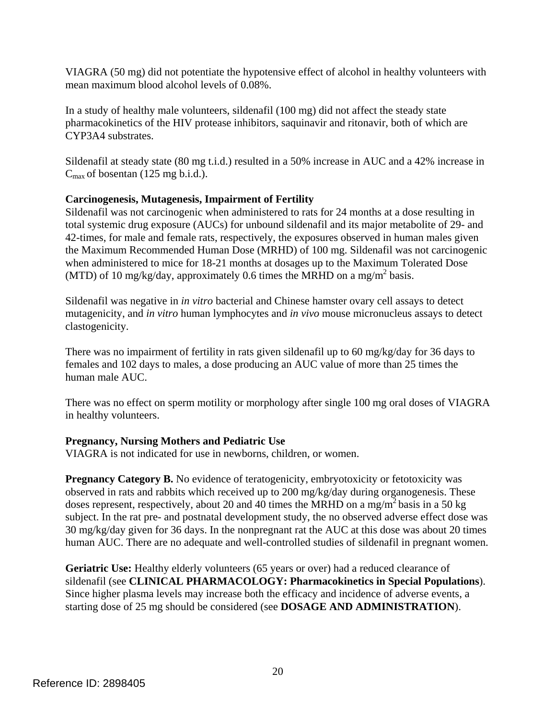VIAGRA (50 mg) did not potentiate the hypotensive effect of alcohol in healthy volunteers with mean maximum blood alcohol levels of 0.08%.

In a study of healthy male volunteers, sildenafil (100 mg) did not affect the steady state pharmacokinetics of the HIV protease inhibitors, saquinavir and ritonavir, both of which are CYP3A4 substrates.

Sildenafil at steady state (80 mg t.i.d.) resulted in a 50% increase in AUC and a 42% increase in  $C_{\text{max}}$  of bosentan (125 mg b.i.d.).

#### **Carcinogenesis, Mutagenesis, Impairment of Fertility**

Sildenafil was not carcinogenic when administered to rats for 24 months at a dose resulting in total systemic drug exposure (AUCs) for unbound sildenafil and its major metabolite of 29- and 42-times, for male and female rats, respectively, the exposures observed in human males given the Maximum Recommended Human Dose (MRHD) of 100 mg. Sildenafil was not carcinogenic when administered to mice for 18-21 months at dosages up to the Maximum Tolerated Dose (MTD) of 10 mg/kg/day, approximately 0.6 times the MRHD on a mg/m<sup>2</sup> basis.

Sildenafil was negative in *in vitro* bacterial and Chinese hamster ovary cell assays to detect mutagenicity, and *in vitro* human lymphocytes and *in vivo* mouse micronucleus assays to detect clastogenicity.

There was no impairment of fertility in rats given sildenafil up to 60 mg/kg/day for 36 days to females and 102 days to males, a dose producing an AUC value of more than 25 times the human male AUC.

There was no effect on sperm motility or morphology after single 100 mg oral doses of VIAGRA in healthy volunteers.

#### **Pregnancy, Nursing Mothers and Pediatric Use**

VIAGRA is not indicated for use in newborns, children, or women.

**Pregnancy Category B.** No evidence of teratogenicity, embryotoxicity or fetotoxicity was observed in rats and rabbits which received up to 200 mg/kg/day during organogenesis. These doses represent, respectively, about 20 and 40 times the MRHD on a mg/m<sup>2</sup> basis in a 50 kg subject. In the rat pre- and postnatal development study, the no observed adverse effect dose was 30 mg/kg/day given for 36 days. In the nonpregnant rat the AUC at this dose was about 20 times human AUC. There are no adequate and well-controlled studies of sildenafil in pregnant women.

**Geriatric Use:** Healthy elderly volunteers (65 years or over) had a reduced clearance of sildenafil (see **CLINICAL PHARMACOLOGY: Pharmacokinetics in Special Populations**). Since higher plasma levels may increase both the efficacy and incidence of adverse events, a starting dose of 25 mg should be considered (see **DOSAGE AND ADMINISTRATION**).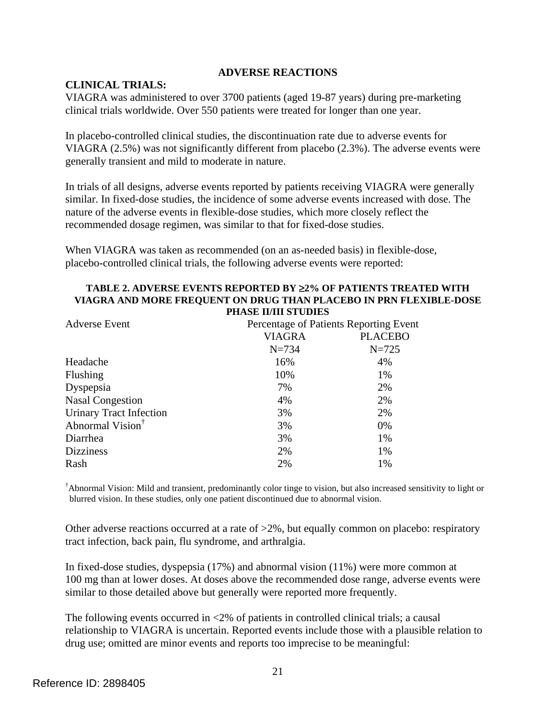#### **ADVERSE REACTIONS**

#### **CLINICAL TRIALS:**

VIAGRA was administered to over 3700 patients (aged 19-87 years) during pre-marketing clinical trials worldwide. Over 550 patients were treated for longer than one year.

In placebo-controlled clinical studies, the discontinuation rate due to adverse events for VIAGRA (2.5%) was not significantly different from placebo (2.3%). The adverse events were generally transient and mild to moderate in nature.

In trials of all designs, adverse events reported by patients receiving VIAGRA were generally similar. In fixed-dose studies, the incidence of some adverse events increased with dose. The nature of the adverse events in flexible-dose studies, which more closely reflect the recommended dosage regimen, was similar to that for fixed-dose studies.

When VIAGRA was taken as recommended (on an as-needed basis) in flexible-dose, placebo-controlled clinical trials, the following adverse events were reported:

#### **TABLE 2. ADVERSE EVENTS REPORTED BY** ≥**2% OF PATIENTS TREATED WITH VIAGRA AND MORE FREQUENT ON DRUG THAN PLACEBO IN PRN FLEXIBLE-DOSE PHASE II/III STUDIES**

| <b>Adverse Event</b>           | Percentage of Patients Reporting Event |                |
|--------------------------------|----------------------------------------|----------------|
|                                | <b>VIAGRA</b>                          | <b>PLACEBO</b> |
|                                | $N = 734$                              | $N = 725$      |
| Headache                       | 16%                                    | 4%             |
| Flushing                       | 10%                                    | 1%             |
| Dyspepsia                      | 7%                                     | 2%             |
| <b>Nasal Congestion</b>        | 4%                                     | 2%             |
| <b>Urinary Tract Infection</b> | 3%                                     | 2%             |
| Abnormal Vision <sup>†</sup>   | 3%                                     | 0%             |
| Diarrhea                       | 3%                                     | 1%             |
| <b>Dizziness</b>               | 2%                                     | 1%             |
| Rash                           | 2%                                     | 1%             |

† Abnormal Vision: Mild and transient, predominantly color tinge to vision, but also increased sensitivity to light or blurred vision. In these studies, only one patient discontinued due to abnormal vision.

Other adverse reactions occurred at a rate of >2%, but equally common on placebo: respiratory tract infection, back pain, flu syndrome, and arthralgia.

In fixed-dose studies, dyspepsia (17%) and abnormal vision (11%) were more common at 100 mg than at lower doses. At doses above the recommended dose range, adverse events were similar to those detailed above but generally were reported more frequently.

The following events occurred in <2% of patients in controlled clinical trials; a causal relationship to VIAGRA is uncertain. Reported events include those with a plausible relation to drug use; omitted are minor events and reports too imprecise to be meaningful: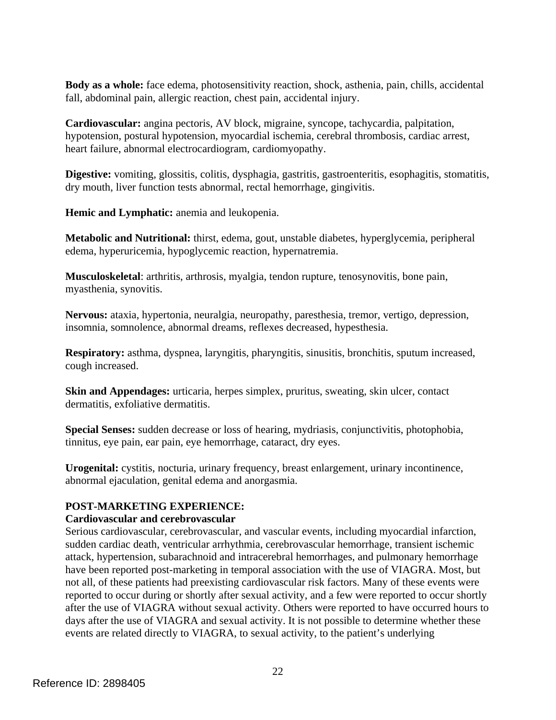**Body as a whole:** face edema, photosensitivity reaction, shock, asthenia, pain, chills, accidental fall, abdominal pain, allergic reaction, chest pain, accidental injury.

**Cardiovascular:** angina pectoris, AV block, migraine, syncope, tachycardia, palpitation, hypotension, postural hypotension, myocardial ischemia, cerebral thrombosis, cardiac arrest, heart failure, abnormal electrocardiogram, cardiomyopathy.

**Digestive:** vomiting, glossitis, colitis, dysphagia, gastritis, gastroenteritis, esophagitis, stomatitis, dry mouth, liver function tests abnormal, rectal hemorrhage, gingivitis.

**Hemic and Lymphatic:** anemia and leukopenia.

**Metabolic and Nutritional:** thirst, edema, gout, unstable diabetes, hyperglycemia, peripheral edema, hyperuricemia, hypoglycemic reaction, hypernatremia.

**Musculoskeletal**: arthritis, arthrosis, myalgia, tendon rupture, tenosynovitis, bone pain, myasthenia, synovitis.

**Nervous:** ataxia, hypertonia, neuralgia, neuropathy, paresthesia, tremor, vertigo, depression, insomnia, somnolence, abnormal dreams, reflexes decreased, hypesthesia.

**Respiratory:** asthma, dyspnea, laryngitis, pharyngitis, sinusitis, bronchitis, sputum increased, cough increased.

**Skin and Appendages:** urticaria, herpes simplex, pruritus, sweating, skin ulcer, contact dermatitis, exfoliative dermatitis.

 tinnitus, eye pain, ear pain, eye hemorrhage, cataract, dry eyes. **Special Senses:** sudden decrease or loss of hearing, mydriasis, conjunctivitis, photophobia,

**Urogenital:** cystitis, nocturia, urinary frequency, breast enlargement, urinary incontinence, abnormal ejaculation, genital edema and anorgasmia.

#### **POST-MARKETING EXPERIENCE:**

#### **Cardiovascular and cerebrovascular**

Serious cardiovascular, cerebrovascular, and vascular events, including myocardial infarction, sudden cardiac death, ventricular arrhythmia, cerebrovascular hemorrhage, transient ischemic attack, hypertension, subarachnoid and intracerebral hemorrhages, and pulmonary hemorrhage have been reported post-marketing in temporal association with the use of VIAGRA. Most, but not all, of these patients had preexisting cardiovascular risk factors. Many of these events were reported to occur during or shortly after sexual activity, and a few were reported to occur shortly after the use of VIAGRA without sexual activity. Others were reported to have occurred hours to days after the use of VIAGRA and sexual activity. It is not possible to determine whether these events are related directly to VIAGRA, to sexual activity, to the patient's underlying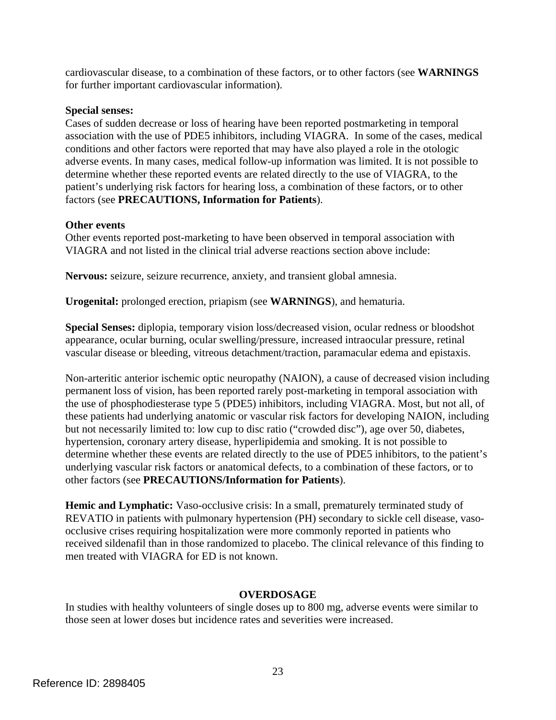cardiovascular disease, to a combination of these factors, or to other factors (see **WARNINGS**  for further important cardiovascular information).

#### **Special senses:**

Cases of sudden decrease or loss of hearing have been reported postmarketing in temporal association with the use of PDE5 inhibitors, including VIAGRA. In some of the cases, medical conditions and other factors were reported that may have also played a role in the otologic adverse events. In many cases, medical follow-up information was limited. It is not possible to determine whether these reported events are related directly to the use of VIAGRA, to the patient's underlying risk factors for hearing loss, a combination of these factors, or to other factors (see **PRECAUTIONS, Information for Patients**).

#### **Other events**

Other events reported post-marketing to have been observed in temporal association with VIAGRA and not listed in the clinical trial adverse reactions section above include:

**Nervous:** seizure, seizure recurrence, anxiety, and transient global amnesia.

**Urogenital:** prolonged erection, priapism (see **WARNINGS**), and hematuria.

**Special Senses:** diplopia, temporary vision loss/decreased vision, ocular redness or bloodshot appearance, ocular burning, ocular swelling/pressure, increased intraocular pressure, retinal vascular disease or bleeding, vitreous detachment/traction, paramacular edema and epistaxis.

Non-arteritic anterior ischemic optic neuropathy (NAION), a cause of decreased vision including permanent loss of vision, has been reported rarely post-marketing in temporal association with the use of phosphodiesterase type 5 (PDE5) inhibitors, including VIAGRA. Most, but not all, of these patients had underlying anatomic or vascular risk factors for developing NAION, including but not necessarily limited to: low cup to disc ratio ("crowded disc"), age over 50, diabetes, hypertension, coronary artery disease, hyperlipidemia and smoking. It is not possible to determine whether these events are related directly to the use of PDE5 inhibitors, to the patient's underlying vascular risk factors or anatomical defects, to a combination of these factors, or to other factors (see **PRECAUTIONS/Information for Patients**).

**Hemic and Lymphatic:** Vaso-occlusive crisis: In a small, prematurely terminated study of REVATIO in patients with pulmonary hypertension (PH) secondary to sickle cell disease, vasoocclusive crises requiring hospitalization were more commonly reported in patients who received sildenafil than in those randomized to placebo. The clinical relevance of this finding to men treated with VIAGRA for ED is not known.

#### **OVERDOSAGE**

In studies with healthy volunteers of single doses up to 800 mg, adverse events were similar to those seen at lower doses but incidence rates and severities were increased.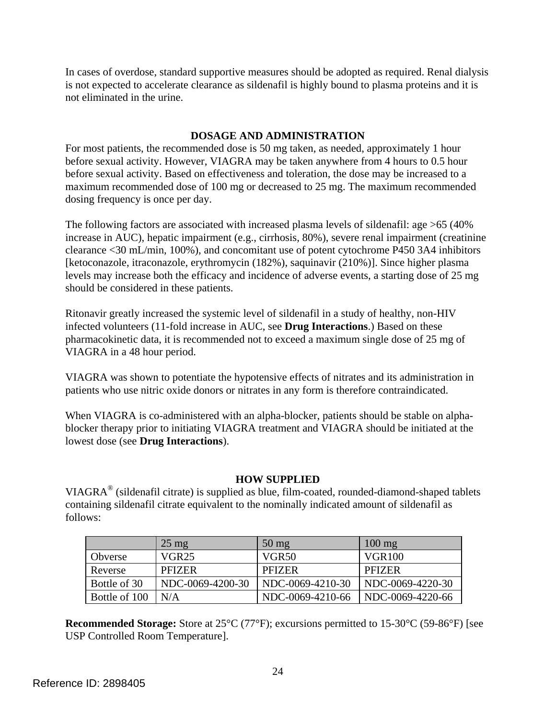In cases of overdose, standard supportive measures should be adopted as required. Renal dialysis is not expected to accelerate clearance as sildenafil is highly bound to plasma proteins and it is not eliminated in the urine.

#### **DOSAGE AND ADMINISTRATION**

For most patients, the recommended dose is 50 mg taken, as needed, approximately 1 hour before sexual activity. However, VIAGRA may be taken anywhere from 4 hours to 0.5 hour before sexual activity. Based on effectiveness and toleration, the dose may be increased to a maximum recommended dose of 100 mg or decreased to 25 mg. The maximum recommended dosing frequency is once per day.

The following factors are associated with increased plasma levels of sildenafil: age >65 (40% increase in AUC), hepatic impairment (e.g., cirrhosis, 80%), severe renal impairment (creatinine clearance <30 mL/min, 100%), and concomitant use of potent cytochrome P450 3A4 inhibitors [ketoconazole, itraconazole, erythromycin (182%), saquinavir (210%)]. Since higher plasma levels may increase both the efficacy and incidence of adverse events, a starting dose of 25 mg should be considered in these patients.

Ritonavir greatly increased the systemic level of sildenafil in a study of healthy, non-HIV infected volunteers (11-fold increase in AUC, see **Drug Interactions**.) Based on these pharmacokinetic data, it is recommended not to exceed a maximum single dose of 25 mg of VIAGRA in a 48 hour period.

VIAGRA was shown to potentiate the hypotensive effects of nitrates and its administration in patients who use nitric oxide donors or nitrates in any form is therefore contraindicated.

When VIAGRA is co-administered with an alpha-blocker, patients should be stable on alphablocker therapy prior to initiating VIAGRA treatment and VIAGRA should be initiated at the lowest dose (see **Drug Interactions**).

#### **HOW SUPPLIED**

VIAGRA<sup>®</sup> (sildenafil citrate) is supplied as blue, film-coated, rounded-diamond-shaped tablets containing sildenafil citrate equivalent to the nominally indicated amount of sildenafil as follows:

|               | $25 \text{ mg}$   | $50 \,\mathrm{mg}$ | $100 \text{ mg}$   |
|---------------|-------------------|--------------------|--------------------|
| Obverse       | VGR <sub>25</sub> | VGR <sub>50</sub>  | VGR <sub>100</sub> |
| Reverse       | <b>PFIZER</b>     | <b>PFIZER</b>      | PFIZER             |
| Bottle of 30  | NDC-0069-4200-30  | NDC-0069-4210-30   | NDC-0069-4220-30   |
| Bottle of 100 | N/A               | NDC-0069-4210-66   | NDC-0069-4220-66   |

**Recommended Storage:** Store at 25°C (77°F); excursions permitted to 15-30°C (59-86°F) [see USP Controlled Room Temperature].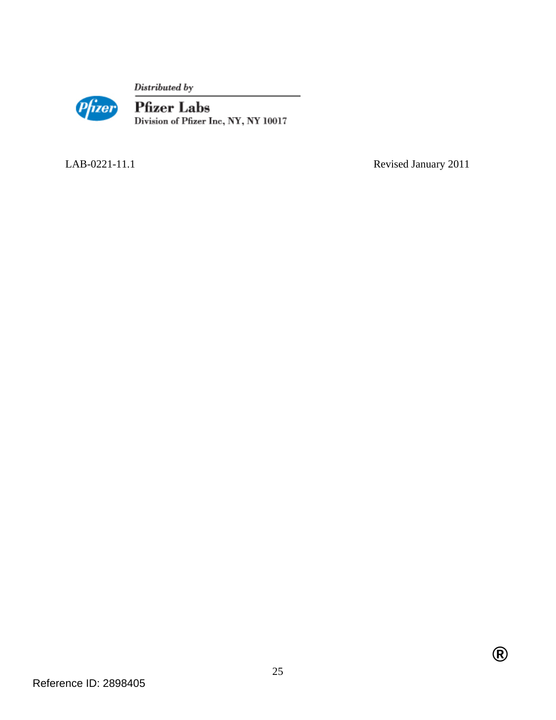Distributed by



LAB-0221-11.1 Revised January 2011

**®**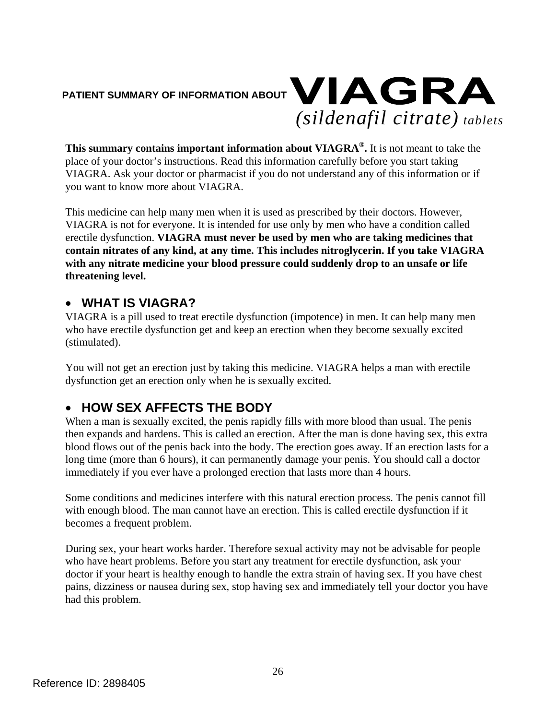

**This summary contains important information about VIAGRA®.** It is not meant to take the place of your doctor's instructions. Read this information carefully before you start taking VIAGRA. Ask your doctor or pharmacist if you do not understand any of this information or if you want to know more about VIAGRA.

This medicine can help many men when it is used as prescribed by their doctors. However, VIAGRA is not for everyone. It is intended for use only by men who have a condition called erectile dysfunction. **VIAGRA must never be used by men who are taking medicines that contain nitrates of any kind, at any time. This includes nitroglycerin. If you take VIAGRA with any nitrate medicine your blood pressure could suddenly drop to an unsafe or life threatening level.** 

## • **WHAT IS VIAGRA?**

VIAGRA is a pill used to treat erectile dysfunction (impotence) in men. It can help many men who have erectile dysfunction get and keep an erection when they become sexually excited (stimulated).

You will not get an erection just by taking this medicine. VIAGRA helps a man with erectile dysfunction get an erection only when he is sexually excited.

## • **HOW SEX AFFECTS THE BODY**

When a man is sexually excited, the penis rapidly fills with more blood than usual. The penis then expands and hardens. This is called an erection. After the man is done having sex, this extra blood flows out of the penis back into the body. The erection goes away. If an erection lasts for a long time (more than 6 hours), it can permanently damage your penis. You should call a doctor immediately if you ever have a prolonged erection that lasts more than 4 hours.

Some conditions and medicines interfere with this natural erection process. The penis cannot fill with enough blood. The man cannot have an erection. This is called erectile dysfunction if it becomes a frequent problem.

During sex, your heart works harder. Therefore sexual activity may not be advisable for people who have heart problems. Before you start any treatment for erectile dysfunction, ask your doctor if your heart is healthy enough to handle the extra strain of having sex. If you have chest pains, dizziness or nausea during sex, stop having sex and immediately tell your doctor you have had this problem.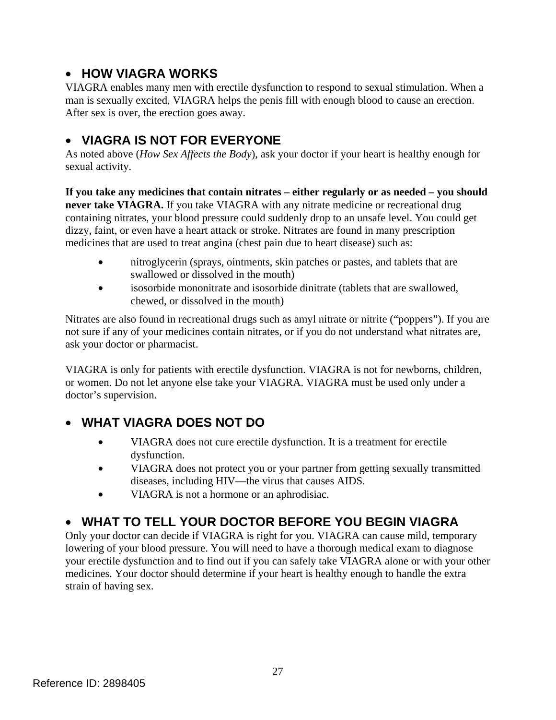## • **HOW VIAGRA WORKS**

VIAGRA enables many men with erectile dysfunction to respond to sexual stimulation. When a man is sexually excited, VIAGRA helps the penis fill with enough blood to cause an erection. After sex is over, the erection goes away.

## • **VIAGRA IS NOT FOR EVERYONE**

As noted above (*How Sex Affects the Body*), ask your doctor if your heart is healthy enough for sexual activity.

**If you take any medicines that contain nitrates – either regularly or as needed – you should never take VIAGRA.** If you take VIAGRA with any nitrate medicine or recreational drug containing nitrates, your blood pressure could suddenly drop to an unsafe level. You could get dizzy, faint, or even have a heart attack or stroke. Nitrates are found in many prescription medicines that are used to treat angina (chest pain due to heart disease) such as:

- nitroglycerin (sprays, ointments, skin patches or pastes, and tablets that are swallowed or dissolved in the mouth)
- isosorbide mononitrate and isosorbide dinitrate (tablets that are swallowed, chewed, or dissolved in the mouth)

Nitrates are also found in recreational drugs such as amyl nitrate or nitrite ("poppers"). If you are not sure if any of your medicines contain nitrates, or if you do not understand what nitrates are, ask your doctor or pharmacist.

VIAGRA is only for patients with erectile dysfunction. VIAGRA is not for newborns, children, or women. Do not let anyone else take your VIAGRA. VIAGRA must be used only under a doctor's supervision.

## • **WHAT VIAGRA DOES NOT DO**

- VIAGRA does not cure erectile dysfunction. It is a treatment for erectile dysfunction.
- VIAGRA does not protect you or your partner from getting sexually transmitted diseases, including HIV—the virus that causes AIDS.
- VIAGRA is not a hormone or an aphrodisiac.

## • **WHAT TO TELL YOUR DOCTOR BEFORE YOU BEGIN VIAGRA**

Only your doctor can decide if VIAGRA is right for you. VIAGRA can cause mild, temporary lowering of your blood pressure. You will need to have a thorough medical exam to diagnose your erectile dysfunction and to find out if you can safely take VIAGRA alone or with your other medicines. Your doctor should determine if your heart is healthy enough to handle the extra strain of having sex.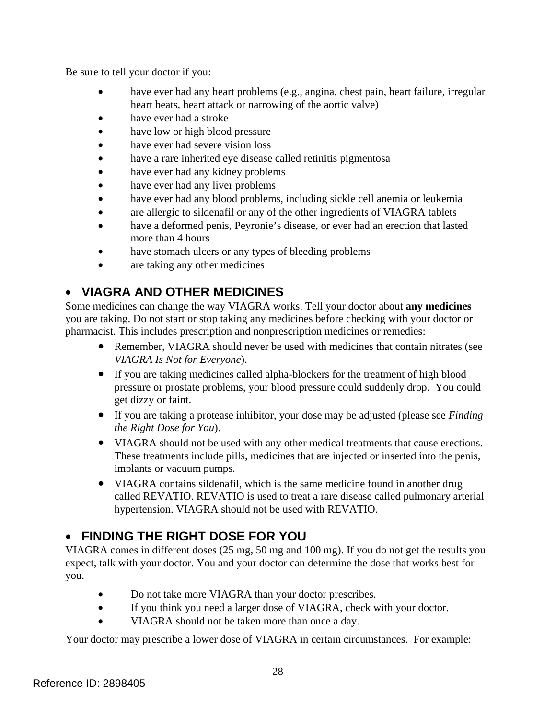Be sure to tell your doctor if you:

- have ever had any heart problems (e.g., angina, chest pain, heart failure, irregular heart beats, heart attack or narrowing of the aortic valve)
- have ever had a stroke
- have low or high blood pressure
- have ever had severe vision loss
- have a rare inherited eye disease called retinitis pigmentosa
- have ever had any kidney problems
- have ever had any liver problems
- have ever had any blood problems, including sickle cell anemia or leukemia
- are allergic to sildenafil or any of the other ingredients of VIAGRA tablets
- have a deformed penis, Peyronie's disease, or ever had an erection that lasted more than 4 hours
- have stomach ulcers or any types of bleeding problems
- are taking any other medicines

## • **VIAGRA AND OTHER MEDICINES**

Some medicines can change the way VIAGRA works. Tell your doctor about **any medicines**  you are taking. Do not start or stop taking any medicines before checking with your doctor or pharmacist. This includes prescription and nonprescription medicines or remedies:

- Remember, VIAGRA should never be used with medicines that contain nitrates (see *VIAGRA Is Not for Everyone*).
- If you are taking medicines called alpha-blockers for the treatment of high blood pressure or prostate problems, your blood pressure could suddenly drop. You could get dizzy or faint.
- • If you are taking a protease inhibitor, your dose may be adjusted (please see *Finding the Right Dose for You*).
- VIAGRA should not be used with any other medical treatments that cause erections. These treatments include pills, medicines that are injected or inserted into the penis, implants or vacuum pumps.
- VIAGRA contains sildenafil, which is the same medicine found in another drug called REVATIO. REVATIO is used to treat a rare disease called pulmonary arterial hypertension. VIAGRA should not be used with REVATIO.

## • **FINDING THE RIGHT DOSE FOR YOU**

VIAGRA comes in different doses (25 mg, 50 mg and 100 mg). If you do not get the results you expect, talk with your doctor. You and your doctor can determine the dose that works best for you.

- Do not take more VIAGRA than your doctor prescribes.
- If you think you need a larger dose of VIAGRA, check with your doctor.
- VIAGRA should not be taken more than once a day.

Your doctor may prescribe a lower dose of VIAGRA in certain circumstances. For example: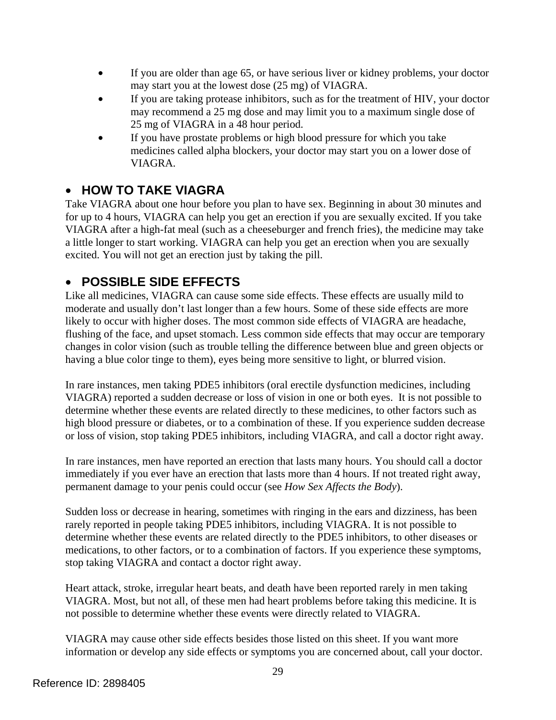- If you are older than age 65, or have serious liver or kidney problems, your doctor may start you at the lowest dose (25 mg) of VIAGRA.
- If you are taking protease inhibitors, such as for the treatment of HIV, your doctor may recommend a 25 mg dose and may limit you to a maximum single dose of 25 mg of VIAGRA in a 48 hour period.
- If you have prostate problems or high blood pressure for which you take medicines called alpha blockers, your doctor may start you on a lower dose of VIAGRA.

## • **HOW TO TAKE VIAGRA**

Take VIAGRA about one hour before you plan to have sex. Beginning in about 30 minutes and for up to 4 hours, VIAGRA can help you get an erection if you are sexually excited. If you take VIAGRA after a high-fat meal (such as a cheeseburger and french fries), the medicine may take a little longer to start working. VIAGRA can help you get an erection when you are sexually excited. You will not get an erection just by taking the pill.

## • **POSSIBLE SIDE EFFECTS**

Like all medicines, VIAGRA can cause some side effects. These effects are usually mild to moderate and usually don't last longer than a few hours. Some of these side effects are more likely to occur with higher doses. The most common side effects of VIAGRA are headache, flushing of the face, and upset stomach. Less common side effects that may occur are temporary changes in color vision (such as trouble telling the difference between blue and green objects or having a blue color tinge to them), eyes being more sensitive to light, or blurred vision.

In rare instances, men taking PDE5 inhibitors (oral erectile dysfunction medicines, including VIAGRA) reported a sudden decrease or loss of vision in one or both eyes. It is not possible to determine whether these events are related directly to these medicines, to other factors such as high blood pressure or diabetes, or to a combination of these. If you experience sudden decrease or loss of vision, stop taking PDE5 inhibitors, including VIAGRA, and call a doctor right away.

In rare instances, men have reported an erection that lasts many hours. You should call a doctor immediately if you ever have an erection that lasts more than 4 hours. If not treated right away, permanent damage to your penis could occur (see *How Sex Affects the Body*).

Sudden loss or decrease in hearing, sometimes with ringing in the ears and dizziness, has been rarely reported in people taking PDE5 inhibitors, including VIAGRA. It is not possible to determine whether these events are related directly to the PDE5 inhibitors, to other diseases or medications, to other factors, or to a combination of factors. If you experience these symptoms, stop taking VIAGRA and contact a doctor right away.

Heart attack, stroke, irregular heart beats, and death have been reported rarely in men taking VIAGRA. Most, but not all, of these men had heart problems before taking this medicine. It is not possible to determine whether these events were directly related to VIAGRA.

VIAGRA may cause other side effects besides those listed on this sheet. If you want more information or develop any side effects or symptoms you are concerned about, call your doctor.